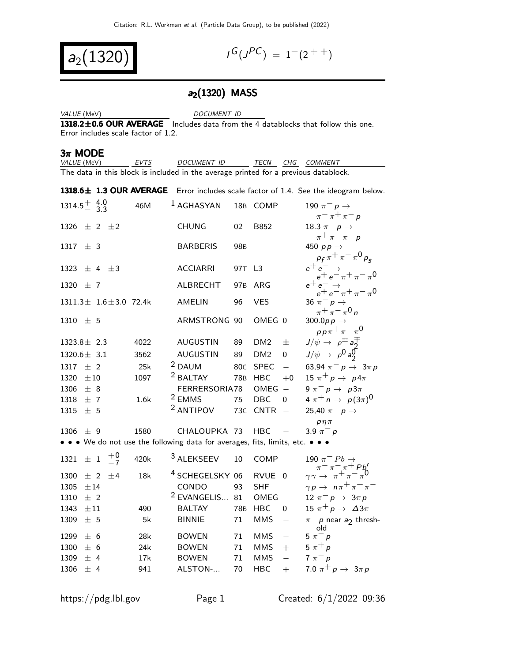$a_2(13)$ 

$$
I^G(J^{PC}) = 1^-(2^{++})
$$

#### a<sub>2</sub>(1320) MASS

VALUE (MeV) DOCUMENT ID

 $1318.2\pm0.6$  OUR AVERAGE Includes data from the 4 datablocks that follow this one. Error includes scale factor of 1.2.

#### $3\pi$  MODE

 $\sqrt{4.0}$ 

| <i>VALUE (</i> MeV) | EVTS | <i>DOCUMENT ID</i>                                                                  |  | TECN CHG COMMENT |
|---------------------|------|-------------------------------------------------------------------------------------|--|------------------|
|                     |      | The data in this block is included in the average printed for a previous datablock. |  |                  |

1318.6 $\pm$  1.3 OUR AVERAGE Error includes scale factor of 1.4. See the ideogram below.

| $1314.5^{+}_{-}$ $\frac{4.0}{3.3}$                                            | 46M  | <sup>1</sup> AGHASYAN      |                 | 18B COMP        |                   | 190 $\pi^ p \rightarrow$                                                                  |
|-------------------------------------------------------------------------------|------|----------------------------|-----------------|-----------------|-------------------|-------------------------------------------------------------------------------------------|
|                                                                               |      |                            |                 |                 |                   | $\pi^{-} \pi^{+} \pi^{-} p$                                                               |
| 1326 $\pm$ 2 $\pm$ 2                                                          |      | <b>CHUNG</b>               | 02              | B852            |                   | 18.3 $\pi^ p \rightarrow$                                                                 |
| 1317 $\pm$ 3                                                                  |      | <b>BARBERIS</b>            | 98 <sub>B</sub> |                 |                   | $\pi^{+}\pi^{-}\pi^{-}p$<br>450 $pp \rightarrow$                                          |
|                                                                               |      |                            |                 |                 |                   | $p_f \pi^+ \pi^- \pi^0 p_s$                                                               |
| 1323 $\pm$ 4 $\pm$ 3                                                          |      | <b>ACCIARRI</b>            | 97T L3          |                 |                   | $e^+e^- \rightarrow$                                                                      |
| 1320 $\pm$ 7                                                                  |      | ALBRECHT                   | 97 <sub>B</sub> | ARG             |                   | $\tilde{e^+}e^-\pi^+\pi^-\pi^0$<br>$e^+e^- \rightarrow$                                   |
| $1311.3 \pm 1.6 \pm 3.0$ 72.4k                                                |      | <b>AMELIN</b>              | 96              | <b>VES</b>      |                   | $e^+e^-\pi^+\pi^-\pi^0$<br>36 $\pi^ p \rightarrow$                                        |
| 1310 $\pm$ 5                                                                  |      | ARMSTRONG 90               |                 | OMEG 0          |                   | $\pi^+ \pi^- \pi^0 n$<br>300.0 $p p \rightarrow$                                          |
|                                                                               |      |                            |                 |                 |                   | $pp\pi^{+}\pi^{-}\pi^{0}$                                                                 |
| $1323.8 \pm 2.3$                                                              | 4022 | <b>AUGUSTIN</b>            | 89              | DM <sub>2</sub> | 士                 | $J/\psi \rightarrow \rho^{\pm} a_2^{\mp}$                                                 |
| $1320.6 \pm 3.1$                                                              | 3562 | <b>AUGUSTIN</b>            | 89              | DM <sub>2</sub> | 0                 | $J/\psi \rightarrow \rho^0 a_2^0$                                                         |
| $1317 \pm 2$                                                                  | 25k  | <sup>2</sup> DAUM          | 80 <sub>C</sub> | <b>SPEC</b>     | $\equiv$          | 63,94 $\pi^- p \to 3\pi p$                                                                |
| 1320<br>$\pm 10$                                                              | 1097 | <sup>2</sup> BALTAY        |                 | 78B HBC         | $+0$              | 15 $\pi^+ p \rightarrow p 4\pi$                                                           |
| 1306 $\pm$ 8                                                                  |      | FERRERSORIA78              |                 | OMEG            | $\sim$            | $9 \pi^- p \rightarrow p3\pi$                                                             |
| $1318 \pm 7$                                                                  | 1.6k | <sup>2</sup> EMMS          | 75              | <b>DBC</b>      | $\mathbf 0$       | $4 \pi^+ n \to p(3\pi)^0$                                                                 |
| 1315 $\pm$ 5                                                                  |      | <sup>2</sup> ANTIPOV       |                 | 73C CNTR        | $\hspace{0.1mm}$  | 25,40 $\pi^ p \rightarrow$                                                                |
|                                                                               |      |                            |                 |                 |                   | $p\eta\pi^-$                                                                              |
| $1306 \pm 9$                                                                  | 1580 | CHALOUPKA 73               |                 | <b>HBC</b>      | $\sim$ $-$        | 3.9 $\pi^- p$                                                                             |
| • • • We do not use the following data for averages, fits, limits, etc. • • • |      |                            |                 |                 |                   |                                                                                           |
| $\pm$ 1 $\frac{+0}{-7}$<br>1321                                               | 420k | <sup>3</sup> ALEKSEEV      | 10              | COMP            |                   | 190 $\pi^-$ Pb $\rightarrow$                                                              |
| 1300<br>$\pm$ 2 $\pm$ 4                                                       | 18k  | <sup>4</sup> SCHEGELSKY 06 |                 | RVUE 0          |                   | $\begin{array}{c}\n\pi^-\pi^-\pi^+ P b' \\ \gamma\gamma \to \pi^+\pi^-\pi^0\n\end{array}$ |
| 1305<br>±14                                                                   |      | CONDO                      | 93              | <b>SHF</b>      |                   | $\gamma p \rightarrow~n \pi^+ \pi^+ \pi^-$                                                |
| $±$ 2<br>1310                                                                 |      | <sup>2</sup> EVANGELIS     | 81              | $OMEG -$        |                   | 12 $\pi^ p \rightarrow 3\pi p$                                                            |
| 1343<br>$\pm 11$                                                              | 490  | <b>BALTAY</b>              |                 | 78B HBC         | $\overline{0}$    | 15 $\pi^+ p \rightarrow \Delta 3\pi$                                                      |
| 1309<br>± 5                                                                   | 5k   | <b>BINNIE</b>              | 71              | <b>MMS</b>      | $\qquad \qquad -$ | $\pi^-$ p near $a_2$ thresh-<br>old                                                       |
| 1299<br>± 6                                                                   | 28k  | <b>BOWEN</b>               | 71              | <b>MMS</b>      | $\equiv$          | $5 \pi^- p$                                                                               |
| 1300<br>± 6                                                                   | 24k  | <b>BOWEN</b>               | 71              | <b>MMS</b>      | $+$               | 5 $\pi^+ p$                                                                               |
| ± 4<br>1309                                                                   | 17k  | <b>BOWEN</b>               | 71              | <b>MMS</b>      | $\equiv$          | $7 \pi^- p$                                                                               |
| 1306<br>± 4                                                                   | 941  | ALSTON-                    | 70              | <b>HBC</b>      | $+$               | 7.0 $\pi^+ p \to 3\pi p$                                                                  |
|                                                                               |      |                            |                 |                 |                   |                                                                                           |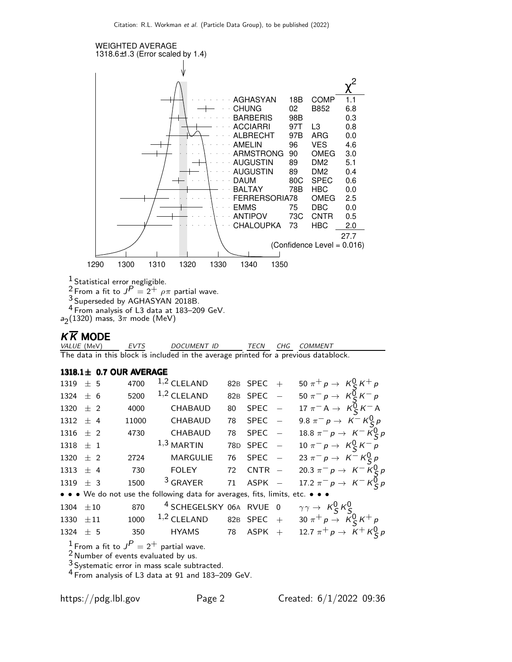

 $\frac{1}{2}$  Statistical error negligible.

<sup>2</sup> From a fit to  $J^P = 2^+$   $\rho \pi$  partial wave.

<sup>3</sup> Superseded by AGHASYAN 2018B.

4 From analysis of L3 data at 183–209 GeV.

 $a_2(1320)$  mass,  $3\pi$  mode (MeV)

## $K \overline{K}$  MODE

EVTS DOCUMENT ID TECN CHG COMMENT The data in this block is included in the average printed for a previous datablock.

 $1318.1 \pm 0.7$  OUR AVERAGE

| 1319 $\pm$ 5  | 4700  | $1,2$ CLELAND   |                                                                               | 82B SPEC + | 50 $\pi^+ p \to K_S^0 K^+ p$                                                       |  |
|---------------|-------|-----------------|-------------------------------------------------------------------------------|------------|------------------------------------------------------------------------------------|--|
| 1324 $\pm$ 6  | 5200  | $1,2$ CLELAND   |                                                                               | 82B SPEC - | 50 $\pi^- p \to K_S^0 K^- p$                                                       |  |
| 1320 $\pm$ 2  | 4000  | CHABAUD         | 80                                                                            | $SPEC -$   | 17 $\pi$ <sup>-</sup> A $\rightarrow$ K <sup>0</sup> <sub>S</sub> K <sup>-</sup> A |  |
| $1312 \pm 4$  | 11000 | CHABAUD         |                                                                               | 78 SPEC -  | 9.8 $\pi^- p \to K^- K^0_S p$                                                      |  |
| 1316 $\pm$ 2  | 4730  | CHABAUD         |                                                                               | 78 SPEC -  | 18.8 $\pi^- p \to K^- K^0_S p$                                                     |  |
| 1318 $\pm$ 1  |       | $^{1,3}$ MARTIN |                                                                               | 78D SPEC - | 10 $\pi^- p \to K_S^0 K^- p$                                                       |  |
| 1320 $\pm$ 2  |       | 2724 MARGULIE   |                                                                               | 76 SPEC -  | 23 $\pi^- p \to K^- K^0_S p$                                                       |  |
| 1313 $\pm$ 4  | 730   | <b>FOLEY</b>    |                                                                               | 72 CNTR –  | 20.3 $\pi^- p \to K^- K^0_S p$                                                     |  |
| 1319 $\pm$ 3  | 1500  | $3$ GRAYER      | 71                                                                            | ASPK -     | 17.2 $\pi^- p \to K^- K^0_S p$                                                     |  |
|               |       |                 | • • • We do not use the following data for averages, fits, limits, etc. • • • |            |                                                                                    |  |
| 1304 $\pm 10$ | 870   |                 | <sup>4</sup> SCHEGELSKY 06A RVUE 0                                            |            | $\gamma \gamma \rightarrow K_S^0 K_S^0$                                            |  |
| 1330 $\pm 11$ | 1000  |                 | $1,2$ CLELAND 82B SPEC +                                                      |            | 30 $\pi^+ p \to K_S^0 K^+ p$                                                       |  |
| 1324 $\pm$ 5  | 350   |                 | $HYAMS$ 78 ASPK $+$                                                           |            | 12.7 $\pi^{+} p \to K^{+} K^{0}_{S} p$                                             |  |
|               |       |                 |                                                                               |            |                                                                                    |  |

 $\frac{1}{2}$  From a fit to  $J^P = 2^+$  partial wave.

 $2$  Number of events evaluated by us.

 $3$  Systematic error in mass scale subtracted.

4 From analysis of L3 data at 91 and 183–209 GeV.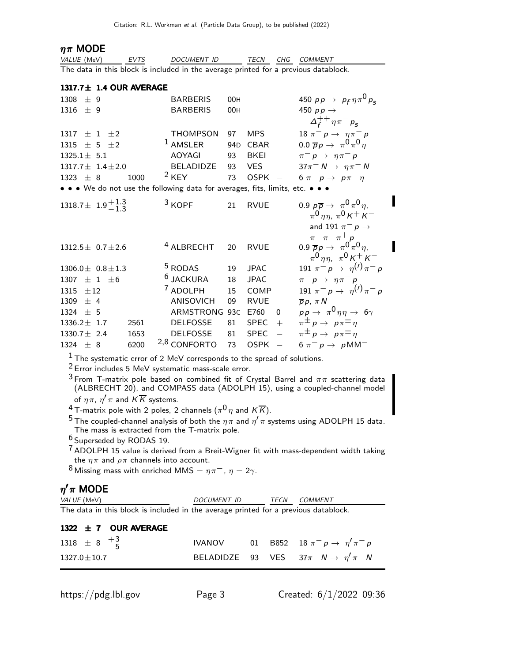#### $\eta \pi$  MODE

| <i>VALUE</i> (MeV) | EVTS | DOCUMENT ID                                                                         | TFCN | CHG COMMENT |
|--------------------|------|-------------------------------------------------------------------------------------|------|-------------|
|                    |      | The data in this block is included in the average printed for a previous datablock. |      |             |

| 1317.7± 1.4 OUR AVERAGE                                                       |      |                         |                 |                              |                                                                                                                                                  |
|-------------------------------------------------------------------------------|------|-------------------------|-----------------|------------------------------|--------------------------------------------------------------------------------------------------------------------------------------------------|
| 1308<br>± 9                                                                   |      | <b>BARBERIS</b>         | 00H             |                              | 450 $pp \to p_f \eta \pi^0 p_c$                                                                                                                  |
| 1316<br>$+9$                                                                  |      | <b>BARBERIS</b>         | 00H             |                              | 450 $pp \rightarrow$                                                                                                                             |
|                                                                               |      |                         |                 |                              | $\Delta_f^{++} \eta \pi^- p_s$                                                                                                                   |
| $\pm$ 1 $\pm$ 2<br>1317                                                       |      | <b>THOMPSON</b>         | 97              | <b>MPS</b>                   | 18 $\pi^- p \to \eta \pi^- p$                                                                                                                    |
| $\pm$ 5 $\pm$ 2<br>1315                                                       |      | <sup>1</sup> AMSLER     | 94 <sub>D</sub> | <b>CBAR</b>                  | $0.0 \overline{p} p \rightarrow \pi^0 \pi^0 \eta$                                                                                                |
| $1325.1 \pm 5.1$                                                              |      | <b>AOYAGI</b>           | 93              | <b>BKEI</b>                  | $\pi^- p \rightarrow \eta \pi^- p$                                                                                                               |
| $1317.7 \pm 1.4 \pm 2.0$                                                      |      | BELADIDZE               | 93              | <b>VES</b>                   | $37\pi^- N \rightarrow \eta \pi^- N$                                                                                                             |
| $1323 + 8$                                                                    | 1000 | $2$ KEY                 | 73              | <b>OSPK</b><br>$\frac{1}{2}$ | 6 $\pi^- p \to p \pi^- \eta$                                                                                                                     |
| • • • We do not use the following data for averages, fits, limits, etc. • • • |      |                         |                 |                              |                                                                                                                                                  |
| 1318.7 ± 1.9 $^{+1.3}_{-1.3}$                                                 |      | $3$ KOPF                | 21              | <b>RVUE</b>                  | 0.9 $p\overline{p} \rightarrow \pi^0 \pi^0 \eta$ ,<br>$\pi^{0}$ $\eta \eta$ , $\pi^{0}$ K + K –                                                  |
| $1312.5 \pm 0.7 \pm 2.6$                                                      |      | <sup>4</sup> ALBRECHT   | 20              | <b>RVUE</b>                  | and 191 $\pi^ p \rightarrow$<br>$\pi^ \pi^ \pi^+$ p<br>0.9 $\overline{p}p \rightarrow \pi^0 \pi^0 \eta$ ,<br>$\pi^0 \eta \eta$ , $\pi^0 K^+ K^-$ |
| $1306.0 \pm 0.8 \pm 1.3$                                                      |      | <sup>5</sup> RODAS      | 19              | <b>JPAC</b>                  | 191 $\pi^- p \to \eta^{(1)} \pi^- p$                                                                                                             |
| $+1$<br>1307<br>$+6$                                                          |      | <sup>6</sup> JACKURA    | 18              | <b>JPAC</b>                  | $\pi^- p \rightarrow \eta \pi^- p$                                                                                                               |
| 1315<br>$+12$                                                                 |      | <sup>7</sup> ADOLPH     | 15              | COMP                         | 191 $\pi^- p \to \eta^{(1)} \pi^- p$                                                                                                             |
| ± 4<br>1309                                                                   |      | <b>ANISOVICH</b>        | 09              | <b>RVUE</b>                  | $\overline{p} p, \pi N$                                                                                                                          |
| 1324<br>±5                                                                    |      | ARMSTRONG               | 93C             | E760<br>$\Omega$             | $\overline{p}p \rightarrow \pi^0 \eta \eta \rightarrow 6\gamma$                                                                                  |
| $1336.2 \pm 1.7$                                                              | 2561 | <b>DELFOSSE</b>         | 81              | $+$<br><b>SPEC</b>           | $\pi^{\pm} p \rightarrow p \pi^{\pm} \eta$                                                                                                       |
| $1330.7 \pm 2.4$                                                              | 1653 | <b>DELFOSSE</b>         | 81              | $\equiv$<br><b>SPEC</b>      | $\pi^{\pm} p \rightarrow p \pi^{\pm} \eta$                                                                                                       |
| 1324 $\pm$ 8                                                                  | 6200 | <sup>2,8</sup> CONFORTO | 73              | <b>OSPK</b>                  | $6 \pi^- p \rightarrow pM M^-$                                                                                                                   |

1 The systematic error of 2 MeV corresponds to the spread of solutions.

2 Error includes 5 MeV systematic mass-scale error.

<sup>3</sup> From T-matrix pole based on combined fit of Crystal Barrel and  $\pi\pi$  scattering data (ALBRECHT 20), and COMPASS data (ADOLPH 15), using a coupled-channel model of  $\eta \pi$ ,  $\eta' \pi$  and  $K \overline{K}$  systems.

 $^4$  T-matrix pole with 2 poles, 2 channels ( $\pi^0\eta$  and  $K\overline{K}$ ).

 $^5$ The coupled-channel analysis of both the  $\eta\pi$  and  $\eta^\prime\pi$  systems using ADOLPH 15 data. The mass is extracted from the T-matrix pole.

6 Superseded by RODAS 19.

7 ADOLPH 15 value is derived from a Breit-Wigner fit with mass-dependent width taking the  $\eta \pi$  and  $\rho \pi$  channels into account.

8 Missing mass with enriched MMS =  $\eta \pi^-$ ,  $\eta = 2\gamma$ .

#### $η^{\prime}π$  MODE

| VALUE (MeV)                                                                         | <i>DOCUMENT ID</i> | TFCN | COMMENT |
|-------------------------------------------------------------------------------------|--------------------|------|---------|
| The data in this block is included in the average printed for a previous datablock. |                    |      |         |

| 1322 $\pm$ 7 OUR AVERAGE     |  |                                                       |
|------------------------------|--|-------------------------------------------------------|
| 1318 $\pm$ 8 $\frac{+3}{-5}$ |  | <b>IVANOV</b> 01 B852 18 $\pi^- p \to \eta' \pi^- p$  |
| $1327.0 \pm 10.7$            |  | BELADIDZE 93 VES $37\pi^- N \rightarrow \eta'\pi^- N$ |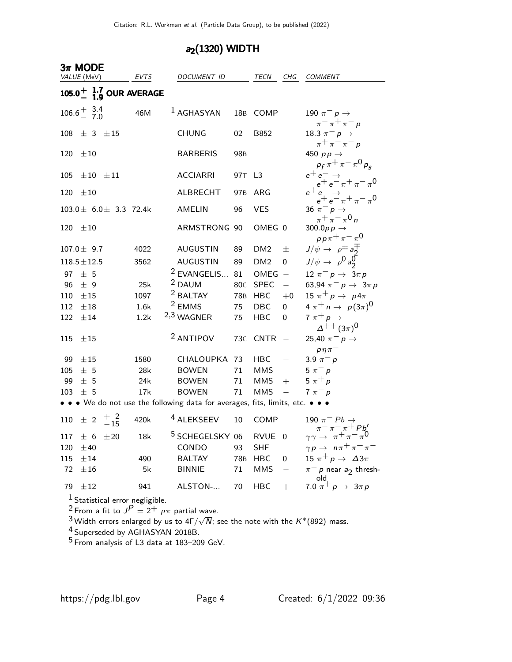## $a_2(1320)$  WIDTH

|                                         | $3\pi$ MODE                                                                                                                                                                                                                                                                                                 |                               |                        |  |                                                                               |                 |                 |                          |                                                                                                                            |
|-----------------------------------------|-------------------------------------------------------------------------------------------------------------------------------------------------------------------------------------------------------------------------------------------------------------------------------------------------------------|-------------------------------|------------------------|--|-------------------------------------------------------------------------------|-----------------|-----------------|--------------------------|----------------------------------------------------------------------------------------------------------------------------|
|                                         | VALUE (MeV)                                                                                                                                                                                                                                                                                                 |                               | EVTS                   |  | DOCUMENT ID                                                                   |                 | TECN            | CHG                      | <b>COMMENT</b>                                                                                                             |
| 105.0 $^{+}$ $^{1.7}_{1.9}$ OUR AVERAGE |                                                                                                                                                                                                                                                                                                             |                               |                        |  |                                                                               |                 |                 |                          |                                                                                                                            |
|                                         | $106.6^{+}_{-}$ $^{3.4}_{7.0}$                                                                                                                                                                                                                                                                              |                               | 46M                    |  | <sup>1</sup> AGHASYAN                                                         | 18 <sub>B</sub> | COMP            |                          | 190 $\pi^ p \rightarrow$<br>$\pi^ \pi^+$ $\pi^ p$                                                                          |
| 108                                     | $\pm$ 3 $\pm$ 15                                                                                                                                                                                                                                                                                            |                               |                        |  | <b>CHUNG</b>                                                                  | 02              | B852            |                          | 18.3 $\pi^-$ p $\rightarrow$<br>$\pi^{+}\pi^{-}\pi^{-}p$                                                                   |
| 120                                     | $\pm 10$                                                                                                                                                                                                                                                                                                    |                               |                        |  | <b>BARBERIS</b>                                                               | 98 <sub>B</sub> |                 |                          | 450 $pp \rightarrow$<br>$p_f \pi^+ \pi^- \pi^0 p_s$                                                                        |
| 105                                     | $\pm 10$ $\pm 11$                                                                                                                                                                                                                                                                                           |                               |                        |  | <b>ACCIARRI</b>                                                               | 97T             | L <sub>3</sub>  |                          |                                                                                                                            |
| 120                                     | $\pm 10$                                                                                                                                                                                                                                                                                                    |                               |                        |  | <b>ALBRECHT</b>                                                               | 97 <sub>B</sub> | ARG             |                          | $e^+e^- \rightarrow$<br>$e^+e^- \rightarrow$<br>$e^+e^- \rightarrow$<br>$e^+e^- \rightarrow$<br>$e^+e^- \pi^+ \pi^- \pi^0$ |
|                                         |                                                                                                                                                                                                                                                                                                             | $103.0 \pm 6.0 \pm 3.3$ 72.4k |                        |  | AMELIN                                                                        | 96              | <b>VES</b>      |                          | 36 $\pi^ p \rightarrow$<br>$\pi^{+}\pi^{-}\pi^{0}n$                                                                        |
| 120                                     | $\pm10$                                                                                                                                                                                                                                                                                                     |                               |                        |  | ARMSTRONG 90                                                                  |                 | OMEG 0          |                          | 300.0 $p \rightarrow$<br>$pp\pi^{+}\pi^{-}\pi^{0}$                                                                         |
|                                         | $107.0 \pm 9.7$                                                                                                                                                                                                                                                                                             |                               | 4022                   |  | <b>AUGUSTIN</b>                                                               | 89              | DM <sub>2</sub> | 士                        |                                                                                                                            |
|                                         | $118.5 \pm 12.5$                                                                                                                                                                                                                                                                                            |                               | 3562                   |  | <b>AUGUSTIN</b>                                                               | 89              | DM <sub>2</sub> | 0                        | $J/\psi \rightarrow \rho^{\pm} a_2^{\mp}$<br>$J/\psi \rightarrow \rho^0 a_2^0$                                             |
| 97                                      | ± 5                                                                                                                                                                                                                                                                                                         |                               |                        |  | <sup>2</sup> EVANGELIS                                                        | 81              | OMEG            | $\overline{\phantom{a}}$ | $12 \pi^- p \to 3 \pi p$                                                                                                   |
| 96                                      | ± 9                                                                                                                                                                                                                                                                                                         |                               | 25k                    |  | <sup>2</sup> DAUM                                                             | 80 <sub>C</sub> | SPEC            | $\equiv$                 | 63,94 $\pi^ p \to 3\pi p$                                                                                                  |
| 110                                     | $\pm 15$                                                                                                                                                                                                                                                                                                    |                               | 1097                   |  | <sup>2</sup> BALTAY                                                           | 78B             | HBC             | $+0$                     | 15 $\pi^+ p \rightarrow p 4\pi$                                                                                            |
| 112                                     | $\pm 18$                                                                                                                                                                                                                                                                                                    |                               | 1.6k                   |  | $2$ EMMS                                                                      | 75              | DBC             | 0                        | $4 \pi^+ n \to p(3\pi)^0$                                                                                                  |
| 122                                     | ±14                                                                                                                                                                                                                                                                                                         |                               | 1.2k                   |  | 2,3 WAGNER                                                                    | 75              | <b>HBC</b>      | 0                        | 7 $\pi^+ p \rightarrow$<br>$\Delta^{++} (3\pi)^0$                                                                          |
| 115                                     | ±15                                                                                                                                                                                                                                                                                                         |                               |                        |  | <sup>2</sup> ANTIPOV                                                          | 73 <sub>C</sub> | <b>CNTR</b>     |                          | 25,40 $\pi^ p \to$                                                                                                         |
| 99                                      | ±15                                                                                                                                                                                                                                                                                                         |                               | 1580                   |  | CHALOUPKA 73                                                                  |                 | <b>HBC</b>      |                          | $p\eta\pi^-$<br>3.9 $\pi^ p$                                                                                               |
| 105                                     | ± 5                                                                                                                                                                                                                                                                                                         |                               | 28k                    |  | <b>BOWEN</b>                                                                  | 71              | <b>MMS</b>      | $\frac{1}{2}$            | $5 \pi^- p$                                                                                                                |
| 99                                      | ± 5                                                                                                                                                                                                                                                                                                         |                               | 24k                    |  | <b>BOWEN</b>                                                                  | 71              | <b>MMS</b>      | $+$                      | $5 \pi^+ p$                                                                                                                |
| 103                                     | ± 5                                                                                                                                                                                                                                                                                                         |                               | 17k                    |  | <b>BOWEN</b>                                                                  | 71              | <b>MMS</b>      |                          | $7 \pi^- p$                                                                                                                |
|                                         |                                                                                                                                                                                                                                                                                                             |                               |                        |  | • • • We do not use the following data for averages, fits, limits, etc. • • • |                 |                 |                          |                                                                                                                            |
|                                         | 110 $\pm$ 2 $\frac{+2}{-15}$                                                                                                                                                                                                                                                                                |                               | 420k                   |  | <sup>4</sup> ALEKSEEV                                                         | 10              | COMP            |                          | 190 $\pi^ Pb \rightarrow$<br>$\pi^-\pi^-\pi^+$ Pb'                                                                         |
|                                         |                                                                                                                                                                                                                                                                                                             |                               | $117 \pm 6 \pm 20$ 18k |  | 5 SCHEGELSKY 06 RVUE 0                                                        |                 |                 |                          | $\gamma \gamma \rightarrow \pi^+ \pi^- \pi^0$                                                                              |
| 120                                     | ±40                                                                                                                                                                                                                                                                                                         |                               |                        |  | CONDO                                                                         | 93              | <b>SHF</b>      |                          | $\gamma p \rightarrow n \pi^+ \pi^+ \pi^-$                                                                                 |
| 115                                     | $\pm 14$                                                                                                                                                                                                                                                                                                    |                               | 490                    |  | <b>BALTAY</b>                                                                 | 78 <sub>B</sub> | <b>HBC</b>      | $\overline{0}$           | 15 $\pi^+ p \rightarrow \Delta 3\pi$                                                                                       |
| 72                                      | $\pm 16$                                                                                                                                                                                                                                                                                                    |                               | 5k                     |  | <b>BINNIE</b>                                                                 | 71              | <b>MMS</b>      |                          | $\pi^-$ p near $a_2$ thresh-<br>old                                                                                        |
| 79                                      | $\pm 12$                                                                                                                                                                                                                                                                                                    |                               | 941                    |  | ALSTON-                                                                       | 70              | <b>HBC</b>      | $+$                      | $7.0 \pi^+ p \to 3 \pi p$                                                                                                  |
|                                         | $1$ Statistical error negligible.<br><sup>2</sup> From a fit to $J^P = 2^+$ $\rho \pi$ partial wave.<br><sup>3</sup> Width errors enlarged by us to 4 $\Gamma/\sqrt{N}$ ; see the note with the K*(892) mass.<br><sup>4</sup> Superseded by AGHASYAN 2018B.<br>$5$ From analysis of L3 data at 183–209 GeV. |                               |                        |  |                                                                               |                 |                 |                          |                                                                                                                            |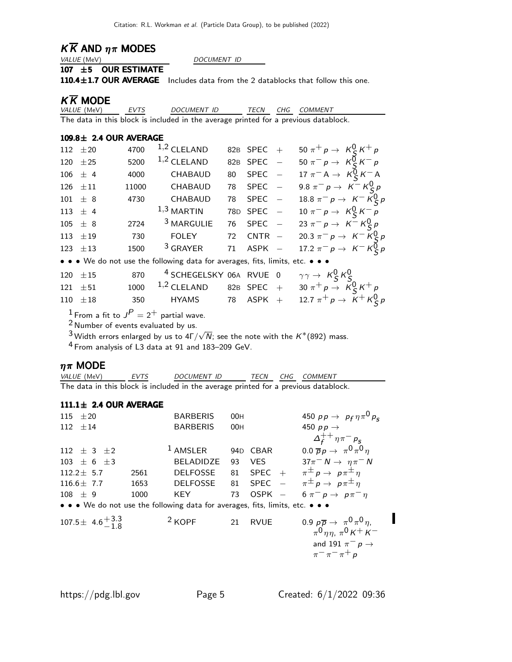# $K \overline{K}$  AND  $\eta \pi$  MODES VALUE (MeV)

DOCUMENT ID

#### 107 ±5 OUR ESTIMATE

110.4 $\pm$ 1.7 OUR AVERAGE Includes data from the 2 datablocks that follow this one.

## $K\overline{K}$  MODE<br>*VALUE* (MeV)

EVTS DOCUMENT ID TECN CHG COMMENT The data in this block is included in the average printed for a previous datablock.

#### $109.8\pm 2.4$  OUR AVERAGE

| 112 $\pm 20$                                                                  | 4700  | $1,2$ CLELAND         |    | 82B SPEC +  |  | 50 $\pi^{+} p \to K_{S}^{0} K^{+} p$ |  |  |
|-------------------------------------------------------------------------------|-------|-----------------------|----|-------------|--|--------------------------------------|--|--|
| 120 $\pm 25$                                                                  | 5200  | $1,2$ CLELAND         |    | 82B SPEC -  |  | 50 $\pi^- p \to K_S^0 K^- p$         |  |  |
| $106 \pm 4$                                                                   | 4000  | CHABAUD               | 80 | $SPEC -$    |  | 17 $\pi^- A \to K_S^0 K^- A$         |  |  |
| 126 $\pm 11$                                                                  | 11000 | CHABAUD               |    | 78 SPEC -   |  | 9.8 $\pi^- p \to K^- K^0_S p$        |  |  |
| $101 \pm 8$                                                                   | 4730  | CHABAUD               |    | 78 SPEC -   |  | 18.8 $\pi^- p \to K^- K^0_S p$       |  |  |
| 113 $\pm$ 4                                                                   |       | $1,3$ MARTIN          |    | 78D SPEC -  |  | 10 $\pi^- p \to K_S^0 K^- p$         |  |  |
| $105 \pm 8$                                                                   | 2724  | <sup>3</sup> MARGULIE |    | 76 SPEC -   |  | 23 $\pi^- p \to K^- K^0_S p$         |  |  |
| 113 $\pm 19$                                                                  | 730   | <b>FOLEY</b>          |    | 72 $CNTR -$ |  | 20.3 $\pi^- p \to K^- K^0_S p$       |  |  |
| 123 $\pm$ 13                                                                  | 1500  | <sup>3</sup> GRAYER   | 71 | $ASPK -$    |  | 17.2 $\pi^- p \to K^- K^0_S p$       |  |  |
| • • • We do not use the following data for averages, fits, limits, etc. • • • |       |                       |    |             |  |                                      |  |  |

| 120 $\pm 15$ | 870 $4$ SCHEGELSKY 06A RVUE 0 $\gamma\gamma\rightarrow K_S^0K_S^0$ |  |                                                                                  |
|--------------|--------------------------------------------------------------------|--|----------------------------------------------------------------------------------|
| $121 \pm 51$ |                                                                    |  | 1000 <sup>1,2</sup> CLELAND 82B SPEC + 30 $\pi^{+}p \rightarrow K^{0}_{S}K^{+}p$ |
| $110 \pm 18$ |                                                                    |  | 350 HYAMS 78 ASPK + 12.7 $\pi^+ p \to K^+ K^0_S p$                               |

 $^1$  From a fit to  $J^P=2^+$  partial wave.

2 Number of events evaluated by us.

 $^3$ Width errors enlarged by us to 4Γ/ $\sqrt{N}$ ; see the note with the  $K^*(892)$  mass.

4 From analysis of L3 data at 91 and 183–209 GeV.

## $\eta \pi$  MODE<br>*VALUE* (MeV)

EVTS DOCUMENT ID TECN CHG COMMENT The data in this block is included in the average printed for a previous datablock.

#### $111.1\pm 2.4$  OUR AVERAGE

| 115 $\pm 20$                                                                  |      | <b>BARBERIS</b>  | 00H |            | 450 $pp \to p_f \eta \pi^0 p_s$                   |
|-------------------------------------------------------------------------------|------|------------------|-----|------------|---------------------------------------------------|
| 112 $\pm 14$                                                                  |      | <b>BARBERIS</b>  | 00H |            | 450 $pp \rightarrow$                              |
|                                                                               |      |                  |     |            | $\Delta_{f}^{++}\eta\pi^{-}\rho_{S}$              |
| 112 $\pm$ 3 $\pm$ 2                                                           |      | $1$ AMSLER       |     | 94D CBAR   | $0.0 \overline{p} p \rightarrow \pi^0 \pi^0 \eta$ |
| $103 \pm 6 \pm 3$                                                             |      | <b>BELADIDZE</b> | 93  | <b>VES</b> | $37\pi^- N \rightarrow \eta \pi^- N$              |
| $112.2 \pm 5.7$                                                               | 2561 | <b>DELFOSSE</b>  | 81  |            | SPEC + $\pi^{\pm} p \rightarrow p \pi^{\pm} \eta$ |
| 116.6 $\pm$ 7.7                                                               | 1653 | <b>DELFOSSE</b>  |     |            | 81 SPEC $-\pi^{\pm}p \rightarrow p\pi^{\pm}\eta$  |
| $108 \pm 9$                                                                   | 1000 | <b>KEY</b>       | 73  | $OSPK -$   | $6 \pi^- p \to p \pi^- \eta$                      |
| • • • We do not use the following data for averages, fits, limits, etc. • • • |      |                  |     |            |                                                   |



I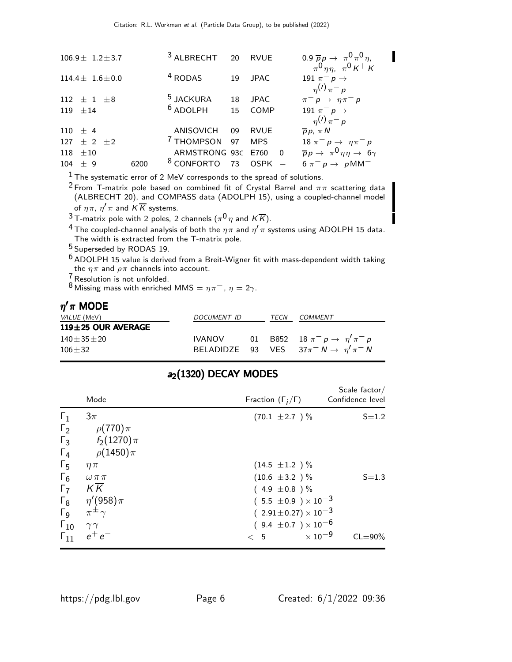| $106.9 \pm 1.2 \pm 3.7$ |      | 3 ALBRECHT 20 RVUE       |    |             |                         | $0.9 \overline{p}p \rightarrow \pi^0 \pi^0 \eta$<br>$\pi^0$ $\eta \eta$ , $\pi^0$ $K^+$ $K^-$ |
|-------------------------|------|--------------------------|----|-------------|-------------------------|-----------------------------------------------------------------------------------------------|
| $114.4 \pm 1.6 \pm 0.0$ |      | <sup>4</sup> RODAS       | 19 | <b>JPAC</b> |                         | 191 $\pi^-$ p $\rightarrow$<br>$\eta^{(1)} \pi^{-} p$                                         |
| 112 $\pm$ 1 $\pm$ 8     |      | <sup>5</sup> JACKURA     | 18 | <b>JPAC</b> |                         | $\pi^- p \rightarrow \eta \pi^- p$                                                            |
| 119 $\pm 14$            |      | $6$ ADOLPH               | 15 | COMP        |                         | 191 $\pi^ p \rightarrow$                                                                      |
|                         |      |                          |    |             |                         | $\eta^{(1)} \pi^{-} p$                                                                        |
| $110 \pm 4$             |      | ANISOVICH                | 09 | <b>RVUE</b> |                         | $\overline{p}p, \pi N$                                                                        |
| 127 $\pm$ 2 $\pm$ 2     |      | <sup>7</sup> THOMPSON 97 |    | <b>MPS</b>  |                         | 18 $\pi^- p \to \eta \pi^- p$                                                                 |
| $118 \pm 10$            |      | ARMSTRONG 93C E760       |    |             | $\overline{\mathbf{0}}$ | $\overline{p}p \rightarrow \pi^0 \eta \eta \rightarrow 6\gamma$                               |
| $104 \pm 9$             | 6200 | <sup>8</sup> CONFORTO    | 73 | <b>OSPK</b> |                         | $6 \pi^- p \rightarrow p M M^-$                                                               |
|                         |      |                          |    |             |                         |                                                                                               |

1 The systematic error of 2 MeV corresponds to the spread of solutions.

 $^2$  From T-matrix pole based on combined fit of Crystal Barrel and  $\pi\pi$  scattering data (ALBRECHT 20), and COMPASS data (ADOLPH 15), using a coupled-channel model of  $\eta \pi$ ,  $\eta' \pi$  and  $K \overline{K}$  systems.

 $^3$ T-matrix pole with 2 poles, 2 channels ( $\pi^0\eta$  and  $K\overline{K}$ ).

 $^4$ The coupled-channel analysis of both the  $\eta\pi$  and  $\eta^\prime\pi$  systems using ADOLPH 15 data. The width is extracted from the T-matrix pole.

5 Superseded by RODAS 19.

6 ADOLPH 15 value is derived from a Breit-Wigner fit with mass-dependent width taking the  $\eta \pi$  and  $\rho \pi$  channels into account.

 $\frac{7}{6}$ Resolution is not unfolded.

8 Missing mass with enriched MMS =  $\eta \pi^-$ ,  $\eta = 2\gamma$ .

#### $η^{\prime}π$  MODE

| COMMENT                                               |
|-------------------------------------------------------|
|                                                       |
| 01 B852 18 $\pi^- p \to \eta' \pi^- p$                |
| BELADIDZE 93 VES $37\pi^- N \rightarrow \eta'\pi^- N$ |
|                                                       |

|                                                   | Mode                                              | Fraction $(\Gamma_i/\Gamma)$                                                                                              | Scale factor/<br>Confidence level |
|---------------------------------------------------|---------------------------------------------------|---------------------------------------------------------------------------------------------------------------------------|-----------------------------------|
| $\Gamma_1$<br>$\Gamma_2$<br>$\Gamma_3$            | $3\pi$<br>$\rho(770)\pi$<br>$f_2(1270)\pi$        | $(70.1 \pm 2.7)$ %                                                                                                        | $S = 1.2$                         |
| $\Gamma_4$<br>$\Gamma_5$<br>$\Gamma_6$            | $\rho(1450)\pi$<br>$\eta \pi$<br>$\omega \pi \pi$ | $(14.5 \pm 1.2) \%$<br>$(10.6 \pm 3.2) \%$                                                                                | $S = 1.3$                         |
| $\Gamma_7$<br>$\Gamma_8$<br>$\Gamma$ <sub>9</sub> | KK<br>$\eta'(958)\pi$<br>$\pi^{\pm}$              | $(4.9 \pm 0.8)$ %<br>$(5.5 \pm 0.9) \times 10^{-3}$<br>$(2.91 \pm 0.27) \times 10^{-3}$<br>$(9.4 \pm 0.7) \times 10^{-6}$ |                                   |
| $\Gamma_{10}$<br>$\Gamma_{11}$                    | $\gamma\gamma$<br>$e^+e^-$                        | $\times$ 10 $^{-9}$<br>< 5                                                                                                | $CL = 90\%$                       |

#### a<sub>2</sub>(1320) DECAY MODES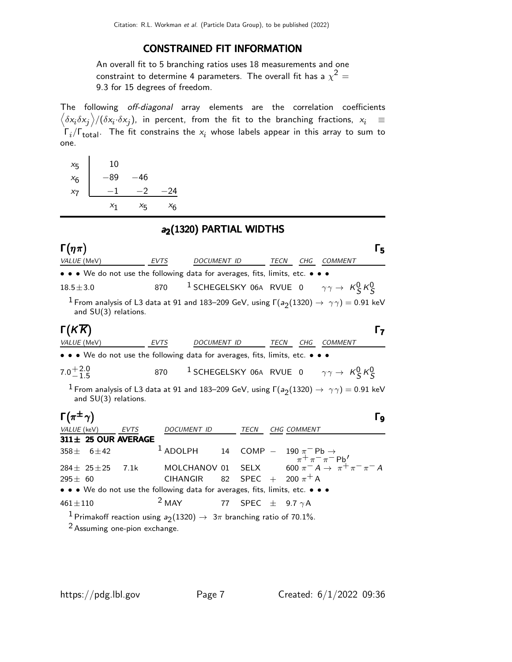#### CONSTRAINED FIT INFORMATION

An overall fit to 5 branching ratios uses 18 measurements and one constraint to determine 4 parameters. The overall fit has a  $\chi^2 =$ 9.3 for 15 degrees of freedom.

The following off-diagonal array elements are the correlation coefficients  $\left<\delta x_i\delta x_j\right>$ / $(\delta x_i\cdot\delta x_j)$ , in percent, from the fit to the branching fractions,  $x_i$   $\;\equiv$  $\Gamma_i/\Gamma_{\rm total}$ . The fit constrains the  $x_i$  whose labels appear in this array to sum to one.

| $x_{5}$ | 10    |         |                |
|---------|-------|---------|----------------|
| $x_6$   | 89    | 46      |                |
| $x_7$   |       | $-2$    | 24             |
|         | $x_1$ | $x_{5}$ | <sup>X</sup> 6 |

l.

#### a<sub>2</sub>(1320) PARTIAL WIDTHS

| $\Gamma(\eta\pi)$                                                                                                                            |             |                    |                              |             |             |                        |                                                                            | Г5 |
|----------------------------------------------------------------------------------------------------------------------------------------------|-------------|--------------------|------------------------------|-------------|-------------|------------------------|----------------------------------------------------------------------------|----|
| VALUE (MeV)                                                                                                                                  | EVTS        | DOCUMENT ID        |                              |             |             |                        | TECN CHG COMMENT                                                           |    |
| • • • We do not use the following data for averages, fits, limits, etc. • • •                                                                |             |                    |                              |             |             |                        |                                                                            |    |
| $18.5 \pm 3.0$                                                                                                                               | 870         |                    |                              |             |             |                        | <sup>1</sup> SCHEGELSKY 06A RVUE 0 $\gamma \gamma \rightarrow K_S^0 K_S^0$ |    |
| $^{-1}$ From analysis of L3 data at 91 and 183–209 GeV, using $\Gamma(a_{2}(1320)\rightarrow\gamma\gamma)=$ 0.91 keV<br>and SU(3) relations. |             |                    |                              |             |             |                        |                                                                            |    |
| $\Gamma(KK)$                                                                                                                                 |             |                    |                              |             |             |                        |                                                                            | Г7 |
| VALUE (MeV)                                                                                                                                  | <b>EVTS</b> | <b>DOCUMENT ID</b> |                              |             | <b>TECN</b> | CHG                    | <b>COMMENT</b>                                                             |    |
| • • • We do not use the following data for averages, fits, limits, etc. • • •                                                                |             |                    |                              |             |             |                        |                                                                            |    |
| $7.0^{+2.0}_{-1.5}$                                                                                                                          | 870         |                    |                              |             |             |                        | $^{-1}$ SCHEGELSKY 06A RVUE 0 $\gamma\gamma\rightarrow~K_S^0\,K_S^0$       |    |
| $^1$ From analysis of L3 data at 91 and 183–209 GeV, using $\Gamma(a_2(1320)\rightarrow\ \gamma\gamma)=$ 0.91 keV<br>and $SU(3)$ relations.  |             |                    |                              |             |             |                        |                                                                            |    |
| $\Gamma(\pi^{\pm}\gamma)$                                                                                                                    |             |                    |                              |             |             |                        |                                                                            | Γg |
| VALUE (keV)<br>EVTS                                                                                                                          |             | DOCUMENT ID        |                              | TECN        |             | CHG COMMENT            |                                                                            |    |
| 311± 25 OUR AVERAGE                                                                                                                          |             |                    |                              |             |             |                        |                                                                            |    |
| $6 \pm 42$<br>358 <sub>±</sub>                                                                                                               |             | $1$ ADOLPH         |                              |             |             |                        | 14 COMP - $190 \pi^{-}Pb \rightarrow \pi^{+} \pi^{-} \pi^{-}Pb'$           |    |
| 7.1k<br>$284 \pm 25 \pm 25$                                                                                                                  |             | MOLCHANOV 01       |                              | <b>SELX</b> |             |                        | 600 $\pi^- A \to \pi^+ \pi^- \pi^- A$                                      |    |
| $295 \pm 60$                                                                                                                                 |             | <b>CIHANGIR</b>    | 82                           |             |             | SPEC + 200 $\pi^{+}$ A |                                                                            |    |
| • • • We do not use the following data for averages, fits, limits, etc. • • •                                                                |             |                    |                              |             |             |                        |                                                                            |    |
| $461 \pm 110$                                                                                                                                | $2$ MAY     |                    | 77 SPEC $\pm$ 9.7 $\gamma$ A |             |             |                        |                                                                            |    |
| <sup>1</sup> Primakoff reaction using $a_2(1320) \rightarrow 3\pi$ branching ratio of 70.1%.                                                 |             |                    |                              |             |             |                        |                                                                            |    |

2 Assuming one-pion exchange.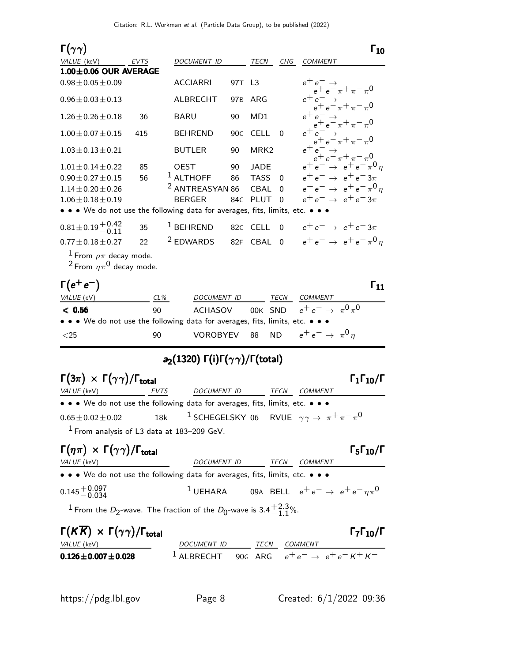| $\Gamma(\gamma\gamma)$                                                        |        |                                                                    |                 |                  |             | $\mathsf{r}_{\mathbf{10}}$                                           |
|-------------------------------------------------------------------------------|--------|--------------------------------------------------------------------|-----------------|------------------|-------------|----------------------------------------------------------------------|
| VALUE (keV)                                                                   | EVTS   | DOCUMENT ID                                                        |                 | TECN             | CHG         | <b>COMMENT</b>                                                       |
| $1.00 \pm 0.06$ OUR AVERAGE                                                   |        |                                                                    |                 |                  |             |                                                                      |
| $0.98 \pm 0.05 \pm 0.09$                                                      |        | <b>ACCIARRI</b>                                                    | 97T L3          |                  |             | $e^+e^- \rightarrow$<br>$e^+e^- \pi^+ \pi^- \pi^0$                   |
| $0.96 \pm 0.03 \pm 0.13$                                                      |        | <b>ALBRECHT</b>                                                    | 97 <sub>B</sub> | ARG              |             | $e^+e^-$<br>$e^+e^-\pi^+\pi^-\pi^0$                                  |
| $1.26 \pm 0.26 \pm 0.18$                                                      | 36     | <b>BARU</b>                                                        | 90              | MD1              |             | $e^+e^ \rightarrow$ $e^+e^-\pi^+\pi^-\pi^0$                          |
| $1.00 \pm 0.07 \pm 0.15$                                                      | 415    | <b>BEHREND</b>                                                     | 90 <sub>C</sub> | <b>CELL</b>      | $\Omega$    | $e^+e^ \rightarrow$<br>$e^+e^ \rightarrow$ $\pi$ + $\pi$ - $\pi$ 0   |
| $1.03 \pm 0.13 \pm 0.21$                                                      |        | <b>BUTLER</b>                                                      | 90              | MRK <sub>2</sub> |             | $e^+e^- \rightarrow$                                                 |
| $1.01 \pm 0.14 \pm 0.22$                                                      | 85     | <b>OEST</b>                                                        | 90              | JADE             |             | $e^+e^-\rightarrow e^+\pi^-\pi^0$<br>$e^+e^-\rightarrow e^+e^-\pi^0$ |
| $0.90 \pm 0.27 \pm 0.15$                                                      | 56     | $1$ ALTHOFF                                                        | 86              | <b>TASS</b>      | $\Omega$    | $e^+e^- \rightarrow e^+e^-3\pi$                                      |
| $1.14 \pm 0.20 \pm 0.26$                                                      |        | <sup>2</sup> ANTREASYAN 86                                         |                 | <b>CBAL</b>      | $\Omega$    | $e^+e^- \rightarrow e^+e^- \pi^0 \eta$                               |
| $1.06 \pm 0.18 \pm 0.19$                                                      |        | <b>BERGER</b>                                                      | 84C             | PLUT             | $\Omega$    | $e^+e^- \rightarrow e^+e^-3\pi$                                      |
| • • • We do not use the following data for averages, fits, limits, etc. • • • |        |                                                                    |                 |                  |             |                                                                      |
| $0.81 \pm 0.19 \begin{array}{c} +0.42 \\ -0.11 \end{array}$                   | 35     | $1$ BEHREND                                                        |                 | 82C CELL         | $\mathbf 0$ | $e^+e^- \rightarrow e^+e^-3\pi$                                      |
| $0.77 \pm 0.18 \pm 0.27$                                                      | 22     | <sup>2</sup> EDWARDS                                               | 82F             | CBAL             | $\Omega$    | $e^+e^- \rightarrow e^+e^- \pi^0 \eta$                               |
| $^1$ From $\rho\pi$ decay mode.<br><sup>2</sup> From $\eta \pi^0$ decay mode. |        |                                                                    |                 |                  |             |                                                                      |
| $\Gamma(e^+e^-)$                                                              |        |                                                                    |                 |                  |             | $\mathsf{r}_{\mathbf{11}}$                                           |
| VALUE (eV)                                                                    | $CL\%$ | DOCUMENT ID                                                        |                 |                  | <b>TECN</b> | COMMENT                                                              |
| < 0.56                                                                        | 90     | <b>ACHASOV</b>                                                     |                 | 00K              | SND         | $e^+e^- \rightarrow \pi^0 \pi^0$                                     |
| • • • We do not use the following data for averages, fits, limits, etc. • • • |        |                                                                    |                 |                  |             |                                                                      |
| $<$ 25                                                                        | 90     | <b>VOROBYEV</b>                                                    |                 | 88               |             | ND $e^+e^- \rightarrow \pi^0 \eta$                                   |
|                                                                               |        | $a_2(1320) \Gamma(i) \Gamma(\gamma \gamma) / \Gamma(\text{total})$ |                 |                  |             |                                                                      |
|                                                                               |        |                                                                    |                 |                  |             |                                                                      |
| $\Gamma(3\pi) \times \Gamma(\gamma\gamma)/\Gamma_{\rm total}$                 |        |                                                                    |                 |                  |             | $\Gamma_1\Gamma_{10}/\Gamma$                                         |

| $\sqrt{2}$ $\sqrt{11}$ $\sqrt{2}$ |      |                                                                                   |      |                |
|-----------------------------------|------|-----------------------------------------------------------------------------------|------|----------------|
| <i>VALUE</i> (keV)                | EVTS | DOCUMENT ID                                                                       | TECN | <i>COMMENT</i> |
|                                   |      | • • • We do not use the following data for averages, fits, limits, etc. • • •     |      |                |
| $0.65 \pm 0.02 \pm 0.02$          |      | 18k <sup>1</sup> SCHEGELSKY 06 RVUE $\gamma \gamma \rightarrow \pi^+ \pi^- \pi^0$ |      |                |
|                                   |      | $1$ From analysis of L3 data at 183-209 GeV.                                      |      |                |

#### $\Gamma(\eta \pi) \times \Gamma(\gamma \gamma) / \Gamma_{\text{total}}$  Γ<sub>5</sub>Γ<sub>10</sub>/Γ  $\Gamma_5\Gamma_{10}/\Gamma$ VALUE (keV) DOCUMENT ID TECN COMMENT • • • We do not use the following data for averages, fits, limits, etc. • • • •  $0.145 + 0.097$ <br> $- 0.034$ 1 UEHARA 09A BELL  $e^+e^- \rightarrow e^+e^-\eta\pi^0$  $^1$  From the  $D_2$ -wave. The fraction of the  $D_0$ -wave is 3.4 $^{\rm +2.3}_{\rm -1.1}$  $-1.1\%$

| $\Gamma(K\overline{K}) \times \Gamma(\gamma\gamma)/\Gamma_{\text{total}}$ |                                                                   |      |         | $\Gamma_7\Gamma_{10}/\Gamma$ |
|---------------------------------------------------------------------------|-------------------------------------------------------------------|------|---------|------------------------------|
| <i>VALUE</i> (keV)                                                        | DOCUMENT ID                                                       | TECN | COMMENT |                              |
| $0.126 \pm 0.007 \pm 0.028$                                               | <sup>1</sup> ALBRECHT 90G ARG $e^+e^- \rightarrow e^+e^- K^+ K^-$ |      |         |                              |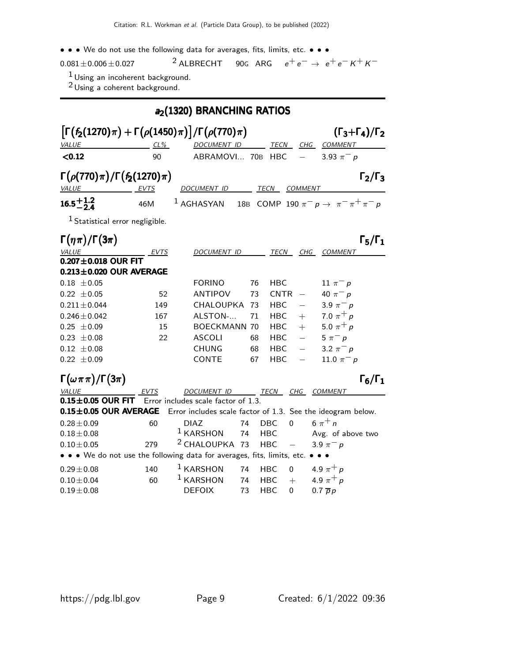### • • • We do not use the following data for averages, fits, limits, etc. • • • •  $\frac{1}{2}$  ALBRECHT 90G ARG  $e^+e^- \rightarrow e^+e^- K^+ K^ 0.081 \pm 0.006 \pm 0.027$  2 ALBRECHT 90G ARG

 $^1$ Using an incoherent background.

 $2$  Using a coherent background.

|                                                                                                                                                                                         | a <sub>2</sub> (1320) BRANCHING RATIOS |                                                                               |  |  |  |  |  |  |
|-----------------------------------------------------------------------------------------------------------------------------------------------------------------------------------------|----------------------------------------|-------------------------------------------------------------------------------|--|--|--|--|--|--|
| $\left[\Gamma(f_2(1270)\pi)+\Gamma(\rho(1450)\pi)\right]/\Gamma(\rho(770)\pi)$<br>$(\Gamma_3+\Gamma_4)/\Gamma_2$<br>VALUE<br>CHG<br>CL%<br><b>DOCUMENT ID</b><br>TECN<br><b>COMMENT</b> |                                        |                                                                               |  |  |  |  |  |  |
| < 0.12                                                                                                                                                                                  | 90                                     | ABRAMOVI 70B HBC<br>3.93 $\pi^- p$                                            |  |  |  |  |  |  |
| $\Gamma(\rho(770)\pi)/\Gamma(f_2(1270)\pi)$<br><i>VALUE</i>                                                                                                                             | EVTS                                   | $\Gamma_2/\Gamma_3$<br>DOCUMENT ID<br>TECN<br><b>COMMENT</b>                  |  |  |  |  |  |  |
| $16.5^{+1.2}_{-2.4}$                                                                                                                                                                    | 46M                                    | 18B COMP 190 $\pi^- p \to \pi^- \pi^+ \pi^- p$<br>$^1$ AGHASYAN               |  |  |  |  |  |  |
| <sup>1</sup> Statistical error negligible.                                                                                                                                              |                                        |                                                                               |  |  |  |  |  |  |
| $\Gamma(\eta\pi)/\Gamma(3\pi)$                                                                                                                                                          |                                        | $\Gamma_5/\Gamma_1$                                                           |  |  |  |  |  |  |
| <b>VALUE</b>                                                                                                                                                                            | EVTS                                   | <b>DOCUMENT ID</b><br>TECN<br>CHG<br><b>COMMENT</b>                           |  |  |  |  |  |  |
| $0.207 \pm 0.018$ OUR FIT<br>$0.213 \pm 0.020$ OUR AVERAGE                                                                                                                              |                                        |                                                                               |  |  |  |  |  |  |
| $0.18 \pm 0.05$                                                                                                                                                                         |                                        | <b>FORINO</b><br>76<br><b>HBC</b><br>11 $\pi^-$ p                             |  |  |  |  |  |  |
| $0.22 \pm 0.05$                                                                                                                                                                         | 52                                     | <b>CNTR</b><br>ANTIPOV<br>73<br>40 $\pi^{-} p$                                |  |  |  |  |  |  |
| $0.211 \pm 0.044$                                                                                                                                                                       | 149                                    | CHALOUPKA 73<br><b>HBC</b><br>3.9 $\pi^- p$<br>$\overline{\phantom{0}}$       |  |  |  |  |  |  |
| $0.246 \pm 0.042$                                                                                                                                                                       | 167                                    | 7.0 $\pi^{+} p$<br>ALSTON-<br>HBC.<br>71<br>$+$                               |  |  |  |  |  |  |
| $0.25 \pm 0.09$                                                                                                                                                                         | 15                                     | 5.0 $\pi^{+} p$<br><b>BOECKMANN 70</b><br>HBC.<br>$+$                         |  |  |  |  |  |  |
| $0.23 \pm 0.08$                                                                                                                                                                         | 22                                     | <b>ASCOLI</b><br><b>HBC</b><br>$\overline{\phantom{0}}$<br>68<br>$5 \pi^- p$  |  |  |  |  |  |  |
| $0.12 \pm 0.08$                                                                                                                                                                         |                                        | $\equiv$<br><b>CHUNG</b><br>3.2 $\pi^{-} p$<br>68<br><b>HBC</b>               |  |  |  |  |  |  |
| $0.22 \pm 0.09$                                                                                                                                                                         |                                        | CONTE<br><b>HBC</b><br>11.0 $\pi^- p$<br>67                                   |  |  |  |  |  |  |
| $\Gamma(\omega \pi \pi)/\Gamma(3\pi)$                                                                                                                                                   |                                        | $\Gamma_6/\Gamma_1$                                                           |  |  |  |  |  |  |
| VALUE                                                                                                                                                                                   | EVTS                                   | DOCUMENT ID TECN CHG COMMENT                                                  |  |  |  |  |  |  |
| $0.15 \pm 0.05$ OUR FIT                                                                                                                                                                 |                                        | Error includes scale factor of 1.3.                                           |  |  |  |  |  |  |
| $0.15 \pm 0.05$ OUR AVERAGE                                                                                                                                                             |                                        | Error includes scale factor of 1.3. See the ideogram below.                   |  |  |  |  |  |  |
| $0.28 \pm 0.09$                                                                                                                                                                         | 60                                     | 6 $\pi^{+}$ n<br><b>DBC</b><br>$\overline{0}$<br>74<br><b>DIAZ</b>            |  |  |  |  |  |  |
| $0.18 \pm 0.08$                                                                                                                                                                         |                                        | $1$ KARSHON<br>74<br><b>HBC</b><br>Avg. of above two                          |  |  |  |  |  |  |
| $0.10 + 0.05$                                                                                                                                                                           | 279                                    | <sup>2</sup> CHALOUPKA 73<br><b>HBC</b><br>$\equiv$<br>3.9 $\pi^- p$          |  |  |  |  |  |  |
|                                                                                                                                                                                         |                                        | • • • We do not use the following data for averages, fits, limits, etc. • • • |  |  |  |  |  |  |
| $0.29 \pm 0.08$                                                                                                                                                                         | 140                                    | $1$ KARSHON<br>4.9 $\pi^+ p$<br>74<br>$\mathbf 0$<br><b>HBC</b>               |  |  |  |  |  |  |
| $0.10 \pm 0.04$                                                                                                                                                                         | 60                                     | $1$ KARSHON<br>4.9 $\pi^{+} p$<br><b>HBC</b><br>$+$<br>74                     |  |  |  |  |  |  |
| $0.19 \pm 0.08$                                                                                                                                                                         |                                        | <b>DEFOIX</b><br>73<br><b>HBC</b><br>$0.7 \overline{p}p$<br>0                 |  |  |  |  |  |  |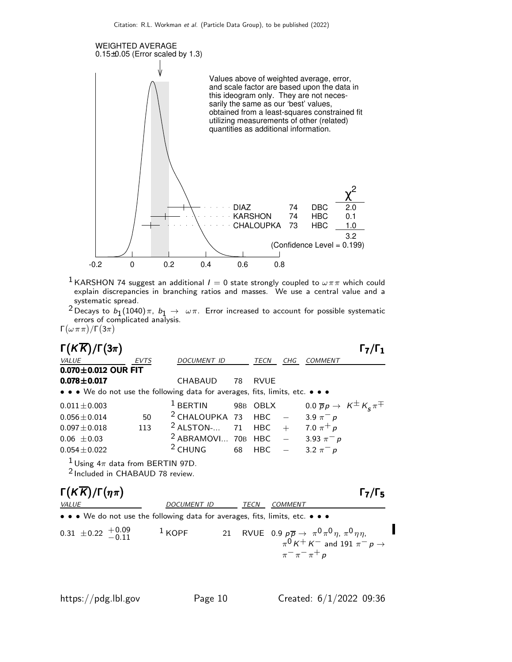

<sup>1</sup> KARSHON 74 suggest an additional  $I = 0$  state strongly coupled to  $\omega \pi \pi$  which could explain discrepancies in branching ratios and masses. We use a central value and a systematic spread.

 $^2$ Decays to  $b_1(1040)\pi$ ,  $b_1\to\ \omega\pi$ . Error increased to account for possible systematic errors of complicated analysis.  $\Gamma(\omega \pi \pi)/\Gamma(3\pi)$ 

| $\Gamma(K\overline{K})/\Gamma(3\pi)$                                                                                  |                                                  |                   |                     |                                                                                                                              | $\Gamma_7/\Gamma_1$ |  |  |
|-----------------------------------------------------------------------------------------------------------------------|--------------------------------------------------|-------------------|---------------------|------------------------------------------------------------------------------------------------------------------------------|---------------------|--|--|
| <b>VALUE</b><br>EVTS                                                                                                  | DOCUMENT ID                                      | TECN              | CHG_                | COMMENT                                                                                                                      |                     |  |  |
| $0.070 \pm 0.012$ OUR FIT                                                                                             |                                                  |                   |                     |                                                                                                                              |                     |  |  |
| $0.078 \pm 0.017$                                                                                                     | CHABAUD                                          | 78<br><b>RVUE</b> |                     |                                                                                                                              |                     |  |  |
| $\bullet \bullet \bullet$ We do not use the following data for averages, fits, limits, etc. $\bullet \bullet \bullet$ |                                                  |                   |                     |                                                                                                                              |                     |  |  |
| $0.011 \pm 0.003$                                                                                                     | $1$ BERTIN                                       | 98B OBLX          |                     | 0.0 $\overline{p}p \rightarrow K^{\pm}K_{s}\pi^{\mp}$                                                                        |                     |  |  |
| $0.056 \pm 0.014$<br>50                                                                                               | <sup>2</sup> CHALOUPKA 73 HBC $-$ 3.9 $\pi^- p$  |                   |                     |                                                                                                                              |                     |  |  |
| 113<br>$0.097 \pm 0.018$                                                                                              | <sup>2</sup> ALSTON- 71 HBC + 7.0 $\pi^{+} p$    |                   |                     |                                                                                                                              |                     |  |  |
| $0.06 \pm 0.03$                                                                                                       | <sup>2</sup> ABRAMOVI 70B HBC $-$ 3.93 $\pi^- p$ |                   |                     |                                                                                                                              |                     |  |  |
| $0.054 \pm 0.022$                                                                                                     | <sup>2</sup> CHUNG                               | 68<br><b>HBC</b>  |                     | $-3.2 \pi^- p$                                                                                                               |                     |  |  |
| <sup>1</sup> Using $4\pi$ data from BERTIN 97D.<br><sup>2</sup> Included in CHABAUD 78 review.                        |                                                  |                   |                     |                                                                                                                              |                     |  |  |
| $\Gamma(K\overline{K})/\Gamma(\eta\pi)$                                                                               |                                                  |                   |                     |                                                                                                                              | $\Gamma_7/\Gamma_5$ |  |  |
| VALUE                                                                                                                 | <i>DOCUMENT ID</i>                               | TECN              | <b>COMMENT</b>      |                                                                                                                              |                     |  |  |
| $\bullet \bullet \bullet$ We do not use the following data for averages, fits, limits, etc. $\bullet \bullet \bullet$ |                                                  |                   |                     |                                                                                                                              |                     |  |  |
| $0.31 \pm 0.22 + 0.09$                                                                                                | $1$ KOPF<br>21                                   |                   | $\pi^ \pi^ \pi^+$ p | RVUE 0.9 $p\overline{p} \rightarrow \pi^0 \pi^0 \eta$ , $\pi^0 \eta \eta$ ,<br>$\pi^0 K^+ K^-$ and 191 $\pi^- p \rightarrow$ |                     |  |  |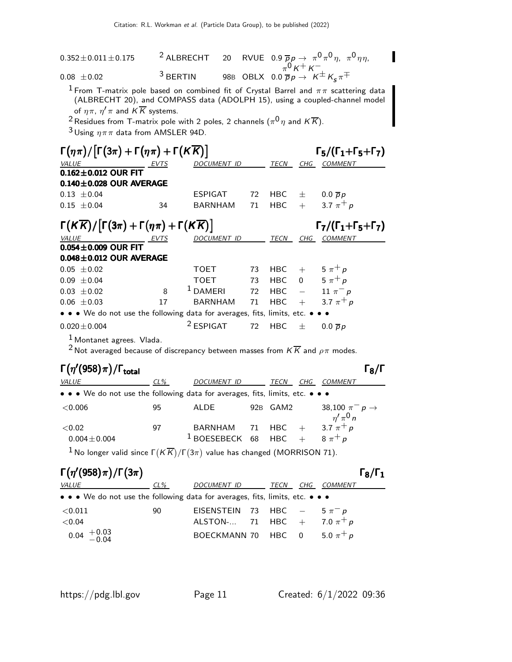| $0.352 \pm 0.011 \pm 0.175$ |            |  | <sup>2</sup> ALBRECHT 20 RVUE 0.9 $\overline{p}p \to \pi^0 \pi^0 \eta$ , $\pi^0 \eta \eta$ , |
|-----------------------------|------------|--|----------------------------------------------------------------------------------------------|
| $0.08 \pm 0.02$             | $3$ BERTIN |  | 98B OBLX $0.0 \overline{p} p \rightarrow K^{\pm} K_{\pi}$                                    |

 $^1$  From T-matrix pole based on combined fit of Crystal Barrel and  $\pi\pi$  scattering data (ALBRECHT 20), and COMPASS data (ADOLPH 15), using a coupled-channel model of  $\eta \pi$ ,  $\eta' \pi$  and KK systems.

 $^2$ Residues from T-matrix pole with 2 poles, 2 channels  $(\pi^0\eta$  and  $K\overline{K}).$ 

 $3$  Using  $\eta \pi \pi$  data from AMSLER 94D.

| $\Gamma(\eta\pi)/[\Gamma(3\pi)+\Gamma(\eta\pi)+\Gamma(K\overline{K})]$<br>$\Gamma_5/(\Gamma_1+\Gamma_5+\Gamma_7)$                  |             |                      |    |             |                |                     |  |  |
|------------------------------------------------------------------------------------------------------------------------------------|-------------|----------------------|----|-------------|----------------|---------------------|--|--|
| <b>VALUE</b>                                                                                                                       | <b>EVTS</b> | <b>DOCUMENT ID</b>   |    | <b>TECN</b> | CHG            | <b>COMMENT</b>      |  |  |
| $0.162 \pm 0.012$ OUR FIT                                                                                                          |             |                      |    |             |                |                     |  |  |
| $0.140 \pm 0.028$ OUR AVERAGE                                                                                                      |             |                      |    |             |                |                     |  |  |
| $0.13 \pm 0.04$                                                                                                                    |             | <b>ESPIGAT</b>       | 72 | HBC.        | 士              | $0.0 \overline{p}p$ |  |  |
| $0.15 + 0.04$                                                                                                                      | 34          | <b>BARNHAM</b>       | 71 | <b>HBC</b>  | $+$            | 3.7 $\pi^{+} p$     |  |  |
| $\Gamma(K\overline{K})/\lceil \Gamma(3\pi)+\Gamma(\eta\pi)+\Gamma(K\overline{K})\rceil$<br>$\Gamma_7/(\Gamma_1+\Gamma_5+\Gamma_7)$ |             |                      |    |             |                |                     |  |  |
| <b>VALUE</b>                                                                                                                       | EVTS        | DOCUMENT ID          |    | TECN        | CHG            | <b>COMMENT</b>      |  |  |
| $0.054 \pm 0.009$ OUR FIT                                                                                                          |             |                      |    |             |                |                     |  |  |
| $0.048 \pm 0.012$ OUR AVERAGE                                                                                                      |             |                      |    |             |                |                     |  |  |
| $0.05 \pm 0.02$                                                                                                                    |             | <b>TOET</b>          | 73 | HBC.        | $+$            | $5 \pi^+ p$         |  |  |
| $0.09 \pm 0.04$                                                                                                                    |             | <b>TOET</b>          | 73 | HBC -       | $\overline{0}$ | $5 \pi^+ p$         |  |  |
| $0.03 \pm 0.02$                                                                                                                    | 8           | $1$ DAMERI           | 72 | <b>HBC</b>  |                | 11 $\pi^-$ p        |  |  |
| $0.06 \pm 0.03$                                                                                                                    | 17          | <b>BARNHAM</b>       | 71 | <b>HBC</b>  | $+$            | 3.7 $\pi^{+} p$     |  |  |
| • • • We do not use the following data for averages, fits, limits, etc. • • •                                                      |             |                      |    |             |                |                     |  |  |
| $0.020 \pm 0.004$<br>$\mathbf 1$                                                                                                   |             | <sup>2</sup> ESPIGAT | 72 | <b>HBC</b>  | 士              | $0.0 \overline{p}p$ |  |  |

1 Montanet agrees. Vlada.

<sup>2</sup> Not averaged because of discrepancy between masses from  $K \overline{K}$  and  $\rho \pi$  modes.

### $\Gamma(\eta^\prime(958)\pi)/\Gamma_{\rm total}$  Γε

| <i>VALUE</i>                                                                  | $CL\%$ | DOCUMENT ID                                                                   | TECN<br>CHG | <i>COMMENT</i>                          |
|-------------------------------------------------------------------------------|--------|-------------------------------------------------------------------------------|-------------|-----------------------------------------|
| • • • We do not use the following data for averages, fits, limits, etc. • • • |        |                                                                               |             |                                         |
| ${<}0.006$                                                                    | 95     | ALDE                                                                          | 92B GAM2    | 38,100 $\pi^- p \to$<br>$\eta' \pi^0 n$ |
| ${<}0.02$<br>$0.004 \pm 0.004$                                                | 97     | BARNHAM 71 HBC + 3.7 $\pi^+ p$<br><sup>1</sup> BOESEBECK 68 HBC + $8 \pi^+ p$ |             |                                         |
|                                                                               |        |                                                                               |             |                                         |

 $^1$ No longer valid since Γ $(\overline{KK})/\Gamma(3\pi)$  value has changed (MORRISON 71).

### Γ $(\eta'(958)\pi)/\Gamma(3\pi)$  Γε

| <i>VALUE</i>                                                                  | $CL\%$ | DOCUMENT ID                       | TECN | CHG COMMENT |
|-------------------------------------------------------------------------------|--------|-----------------------------------|------|-------------|
| • • • We do not use the following data for averages, fits, limits, etc. • • • |        |                                   |      |             |
| $<$ 0.011                                                                     | 90     | EISENSTEIN 73 HBC $-$ 5 $\pi^- p$ |      |             |
| ${<}0.04$                                                                     |        | ALSTON- 71 HBC + 7.0 $\pi^{+} p$  |      |             |
| $0.04 \begin{array}{c} +0.03 \\ -0.04 \end{array}$                            |        | BOECKMANN 70 HBC 0 5.0 $\pi^+ p$  |      |             |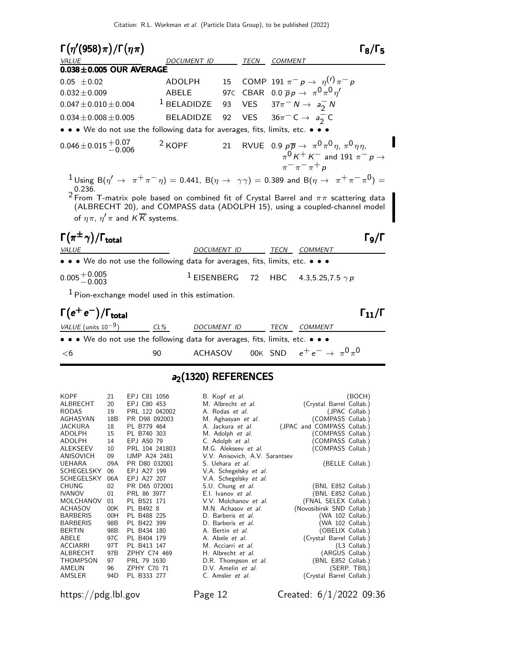| $\Gamma(\eta^\prime(958)\pi)/\Gamma(\eta\pi)$                                                                                                                                                                                                                                                                                                                                        |                       |                  |      |                |                                                                                                                                                                | $\sqrt{2}$ ג         |
|--------------------------------------------------------------------------------------------------------------------------------------------------------------------------------------------------------------------------------------------------------------------------------------------------------------------------------------------------------------------------------------|-----------------------|------------------|------|----------------|----------------------------------------------------------------------------------------------------------------------------------------------------------------|----------------------|
| <b>VALUE</b>                                                                                                                                                                                                                                                                                                                                                                         | DOCUMENT ID           |                  | TECN | <b>COMMENT</b> |                                                                                                                                                                |                      |
| $0.038 \pm 0.005$ OUR AVERAGE                                                                                                                                                                                                                                                                                                                                                        |                       |                  |      |                |                                                                                                                                                                |                      |
| $0.05 \pm 0.02$                                                                                                                                                                                                                                                                                                                                                                      | ADOLPH                | 15 <sup>15</sup> |      |                | COMP 191 $\pi^- p \to \eta^{(1)} \pi^- p$                                                                                                                      |                      |
| $0.032 \pm 0.009$                                                                                                                                                                                                                                                                                                                                                                    | <b>ABELE</b>          |                  |      |                | 97C CBAR 0.0 $\overline{p}p \rightarrow \pi^0 \pi^0 \eta'$                                                                                                     |                      |
| $0.047 \pm 0.010 \pm 0.004$                                                                                                                                                                                                                                                                                                                                                          | $1$ BELADIDZE         |                  |      |                | 93 VES $37\pi^- N \to a_2^- N$                                                                                                                                 |                      |
| $0.034 \pm 0.008 \pm 0.005$                                                                                                                                                                                                                                                                                                                                                          | <b>BELADIDZE</b>      | 92               |      |                | VES $36\pi$ <sup>-</sup> C $\rightarrow$ $a_2$ <sup>-</sup> C                                                                                                  |                      |
| • • We do not use the following data for averages, fits, limits, etc. • • •                                                                                                                                                                                                                                                                                                          |                       |                  |      |                |                                                                                                                                                                |                      |
| $0.046 \pm 0.015 \begin{array}{l} +0.07 \\ -0.006 \end{array}$                                                                                                                                                                                                                                                                                                                       | $2$ KOPF              |                  |      |                | 21 RVUE 0.9 $p\overline{p} \rightarrow \pi^0 \pi^0 \eta$ , $\pi^0 \eta \eta$ ,<br>$\pi^0 K^+ K^-$ and 191 $\pi^- p \rightarrow$<br>$\pi^{-} \pi^{-} \pi^{+} p$ |                      |
| $1$ Using B $(\eta'\to~\pi^+\pi^-\eta)$ = 0.441, B $(\eta\to~\gamma\gamma)$ = 0.389 and B $(\eta\to~\pi^+\pi^-\pi^0)$ =<br>0.236.<br><sup>2</sup> From T-matrix pole based on combined fit of Crystal Barrel and $\pi\pi$ scattering data<br>(ALBRECHT 20), and COMPASS data (ADOLPH 15), using a coupled-channel model<br>of $\eta \pi$ , $\eta' \pi$ and $K \overline{K}$ systems. |                       |                  |      |                |                                                                                                                                                                |                      |
| $\Gamma(\pi^{\pm}\gamma)/\Gamma_{\rm total}$                                                                                                                                                                                                                                                                                                                                         |                       |                  |      |                |                                                                                                                                                                | Го/Г                 |
| VALUE                                                                                                                                                                                                                                                                                                                                                                                | <b>DOCUMENT ID</b>    |                  |      | TECN           | COMMENT                                                                                                                                                        |                      |
| • • • We do not use the following data for averages, fits, limits, etc. • • •                                                                                                                                                                                                                                                                                                        |                       |                  |      |                |                                                                                                                                                                |                      |
| $0.005 + 0.005$                                                                                                                                                                                                                                                                                                                                                                      |                       |                  |      |                | <sup>1</sup> EISENBERG 72 HBC 4.3,5.25,7.5 $\gamma p$                                                                                                          |                      |
| <sup>1</sup> Pion-exchange model used in this estimation.                                                                                                                                                                                                                                                                                                                            |                       |                  |      |                |                                                                                                                                                                |                      |
| $\Gamma(e^+e^-)/\Gamma_{\rm total}$                                                                                                                                                                                                                                                                                                                                                  |                       |                  |      |                |                                                                                                                                                                | $\Gamma_{11}/\Gamma$ |
| VALUE (units $10^{-9}$ )                                                                                                                                                                                                                                                                                                                                                             | $CL\%$<br>DOCUMENT ID |                  |      | TECN           | <b>COMMENT</b>                                                                                                                                                 |                      |
| • • • We do not use the following data for averages, fits, limits, etc. • • •                                                                                                                                                                                                                                                                                                        |                       |                  |      |                |                                                                                                                                                                |                      |
| $<$ 6                                                                                                                                                                                                                                                                                                                                                                                | ACHASOV<br>90         |                  |      |                | 00K SND $e^+e^-\rightarrow\pi^0\pi^0$                                                                                                                          |                      |

## a<sub>2</sub>(1320) REFERENCES

| KOPF       | 21  | EPJ C81 1056         | B. Kopf et al.                 | (BOCH)                     |
|------------|-----|----------------------|--------------------------------|----------------------------|
| ALBRECHT   | 20  | EPJ C80 453          | M. Albrecht et al.             | (Crystal Barrel Collab.)   |
| RODAS      | 19  | PRL 122 042002       | A. Rodas et al.                | (JPAC Collab.)             |
| AGHASYAN   | 18B | PR D98 092003        | M. Aghasyan et al.             | (COMPASS Collab.)          |
| JACKURA    | 18  | PL B779 464          | A. Jackura et al.              | (JPAC and COMPASS Collab.) |
| ADOLPH     | 15  | PL B740 303          | M. Adolph et al.               | (COMPASS Collab.)          |
| ADOLPH     | 14  | EPJ A50 79           | C. Adolph et al.               | COMPASS Collab.)           |
| ALEKSEEV   | 10  | PRL 104 241803       | M.G. Alekseev et al.           | (COMPASS Collab.)          |
| ANISOVICH  | 09  | <b>IJMP A24 2481</b> | V.V. Anisovich, A.V. Sarantsev |                            |
| UEHARA     | 09A | PR D80 032001        | S. Uehara <i>et al.</i>        | (BELLE Collab.)            |
| SCHEGELSKY | 06  | EPJ A27 199          | V.A. Schegelsky et al.         |                            |
| SCHEGELSKY | 06A | EPJ A27 207          | V.A. Schegelsky et al.         |                            |
| CHUNG      | 02  | PR D65 072001        | S.U. Chung et al.              | (BNL E852 Collab.)         |
| IVANOV     | 01  | PRL 86 3977          | E.I. Ivanov et al.             | (BNL E852 Collab.)         |
| MOLCHANOV  | 01  | PL B521 171          | V.V. Molchanov et al.          | (FNAL SELEX Collab.)       |
| ACHASOV    | 00K | PL B492 8            | M.N. Achasov et al.            | (Novosibirsk SND Collab.)  |
| BARBERIS   | 00H | PL B488 225          | D. Barberis et al.             | (WA 102 Collab.)           |
| BARBERIS   | 98B | PL B422 399          | D. Barberis <i>et al.</i>      | WA 102 Collab.)            |
| BERTIN     | 98B | PL B434 180          | A. Bertin <i>et al.</i>        | (OBELIX Collab.)           |
| ABELE      | 97C | PL B404 179          | A. Abele <i>et al.</i>         | (Crystal Barrel Collab.)   |
| ACCIARRI   | 97T | PL B413 147          | M. Acciarri et al.             | $(L3$ Collab.)             |
| ALBRECHT   | 97B | ZPHY C74 469         | H. Albrecht et al.             | (ARGUS Collab.)            |
| THOMPSON   | 97  | PRL 79 1630          | D.R. Thompson et al.           | (BNL E852 Collab.)         |
| AMELIN     | 96  | <b>ZPHY C70 71</b>   | D.V. Amelin et al.             | (SERP, TBIL)               |
| AMSLER     | 94D | PL B333 277          | C. Amsler <i>et al.</i>        | (Crystal Barrel Collab.)   |
|            |     |                      |                                |                            |

https://pdg.lbl.gov Page 12 Created: 6/1/2022 09:36